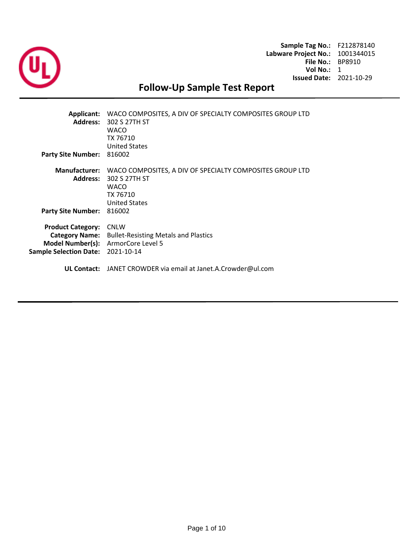

**Sample Tag No.:** F212878140 **Labware Project No.:** 1001344015 **File No.:** BP8910 **Vol No.:** 1 **Issued Date:** 2021-10-29

# **Follow-Up Sample Test Report**

| <b>Applicant:</b><br><b>Address:</b><br><b>Party Site Number:</b>                                             | WACO COMPOSITES, A DIV OF SPECIALTY COMPOSITES GROUP LTD<br>302 S 27TH ST<br><b>WACO</b><br>TX 76710<br><b>United States</b><br>816002 |
|---------------------------------------------------------------------------------------------------------------|----------------------------------------------------------------------------------------------------------------------------------------|
| <b>Manufacturer:</b><br><b>Address:</b><br><b>Party Site Number:</b>                                          | WACO COMPOSITES, A DIV OF SPECIALTY COMPOSITES GROUP LTD<br>302 S 27TH ST<br><b>WACO</b><br>TX 76710<br><b>United States</b><br>816002 |
| <b>Product Category:</b><br><b>Category Name:</b><br><b>Model Number(s):</b><br><b>Sample Selection Date:</b> | <b>CNLW</b><br><b>Bullet-Resisting Metals and Plastics</b><br>ArmorCore Level 5<br>2021-10-14                                          |
|                                                                                                               | <b>UL Contact:</b> JANET CROWDER via email at Janet.A.Crowder@ul.com                                                                   |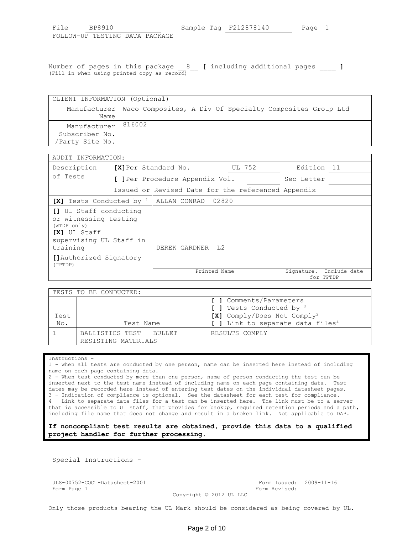| File                           | BP8910 |  |  | Sample Tag F212878140 | Page 1 |  |
|--------------------------------|--------|--|--|-----------------------|--------|--|
| FOLLOW-UP TESTING DATA PACKAGE |        |  |  |                       |        |  |

Number of pages in this package \_\_8\_\_ **[** including additional pages \_\_\_\_ **]** (Fill in when using printed copy as record)

|                | CLIENT INFORMATION (Optional)                                           |  |  |  |  |  |  |
|----------------|-------------------------------------------------------------------------|--|--|--|--|--|--|
|                | Manufacturer   Waco Composites, A Div Of Specialty Composites Group Ltd |  |  |  |  |  |  |
| Name           |                                                                         |  |  |  |  |  |  |
| Manufacturer   | 816002                                                                  |  |  |  |  |  |  |
| Subscriber No. |                                                                         |  |  |  |  |  |  |
| Party Site No. |                                                                         |  |  |  |  |  |  |

| AUDIT INFORMATION:                                                                                                           |                                |                                                    |                                      |  |
|------------------------------------------------------------------------------------------------------------------------------|--------------------------------|----------------------------------------------------|--------------------------------------|--|
| Description                                                                                                                  | <b>[X]</b> Per Standard No.    | UL 752                                             | Edition 11                           |  |
| of Tests                                                                                                                     | [ ]Per Procedure Appendix Vol. |                                                    | Sec Letter                           |  |
|                                                                                                                              |                                | Issued or Revised Date for the referenced Appendix |                                      |  |
| $[X]$ Tests Conducted by <sup>1</sup> ALLAN CONRAD                                                                           |                                | 02820                                              |                                      |  |
| [] UL Staff conducting<br>or witnessing testing<br>(WTDP only)<br><b>[X]</b> UL Staff<br>supervising UL Staff in<br>training | DEREK GARDNER L2               |                                                    |                                      |  |
| [] Authorized Signatory<br>(TPTDP)                                                                                           |                                |                                                    |                                      |  |
|                                                                                                                              |                                | Printed Name                                       | Signature. Include date<br>for TPTDP |  |

|      | TESTS TO BE CONDUCTED:                          |                                                                                                           |
|------|-------------------------------------------------|-----------------------------------------------------------------------------------------------------------|
| Test |                                                 | [ ] Comments/Parameters<br>[ ] Tests Conducted by <sup>2</sup><br>[X] Comply/Does Not Comply <sup>3</sup> |
| No.  | Test Name                                       | [ ] Link to separate data files <sup>4</sup>                                                              |
|      | BALLISTICS TEST - BULLET<br>RESISTING MATERIALS | RESULTS COMPLY                                                                                            |

## Instructions -

1 - When all tests are conducted by one person, name can be inserted here instead of including name on each page containing data.

2 - When test conducted by more than one person, name of person conducting the test can be inserted next to the test name instead of including name on each page containing data. Test dates may be recorded here instead of entering test dates on the individual datasheet pages. 3 - Indication of compliance is optional. See the datasheet for each test for compliance. 4 – Link to separate data files for a test can be inserted here. The link must be to a server that is accessible to UL staff, that provides for backup, required retention periods and a path, including file name that does not change and result in a broken link. Not applicable to DAP.

# **If noncompliant test results are obtained, provide this data to a qualified project handler for further processing.**

Special Instructions -

ULS-00752-COGT-Datasheet-2001 Form Issued: 2009-11-16 Form Page 1 Form Revised:

Copyright © 2012 UL LLC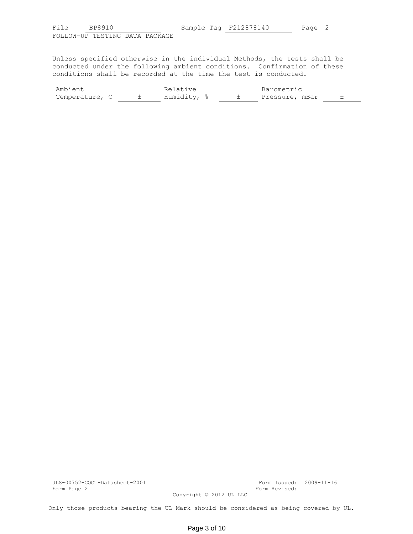FOLLOW-UP TESTING DATA PACKAGE

Unless specified otherwise in the individual Methods, the tests shall be conducted under the following ambient conditions. Confirmation of these conditions shall be recorded at the time the test is conducted.

| Ambient        |  | Relative    |  | Barometric     |  |
|----------------|--|-------------|--|----------------|--|
| Temperature, C |  | Humidity, % |  | Pressure, mBar |  |

ULS-00752-COGT-Datasheet-2001 Form Issued: 2009-11-16 Form Page 2 Form Revised:

Copyright © 2012 UL LLC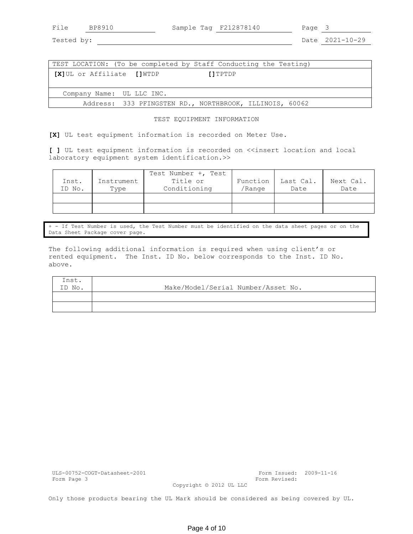| File | <b>BP89</b> |
|------|-------------|
|------|-------------|

8910 Sample Tag F212878140 Page 3

Tested by: Date 2021-10-29

|                             | TEST LOCATION: (To be completed by Staff Conducting the Testing) |
|-----------------------------|------------------------------------------------------------------|
| [X] UL or Affiliate [] WTDP | [1TPTDP]                                                         |
|                             |                                                                  |
| Company Name: UL LLC INC.   |                                                                  |
|                             | Address: 333 PFINGSTEN RD., NORTHBROOK, ILLINOIS, 60062          |

# TEST EQUIPMENT INFORMATION

**[X]** UL test equipment information is recorded on Meter Use.

[ ] UL test equipment information is recorded on <<insert location and local laboratory equipment system identification.>>

|        |            | Test Number +, Test |            |           |           |
|--------|------------|---------------------|------------|-----------|-----------|
| Inst.  | Instrument | Title or            | Function 1 | Last Cal. | Next Cal. |
| ID No. | Type       | Conditioning        | 'Range     | Date      | Date      |
|        |            |                     |            |           |           |
|        |            |                     |            |           |           |

+ - If Test Number is used, the Test Number must be identified on the data sheet pages or on the Data Sheet Package cover page.

The following additional information is required when using client's or rented equipment. The Inst. ID No. below corresponds to the Inst. ID No. above.

| Inst.  |                                    |
|--------|------------------------------------|
| ID No. | Make/Model/Serial Number/Asset No. |
|        |                                    |
|        |                                    |

|             | ULS-00752-COGT-Datasheet-2001 |
|-------------|-------------------------------|
| Form Page 3 |                               |

Form Issued: 2009-11-16 Form Revised:

Copyright © 2012 UL LLC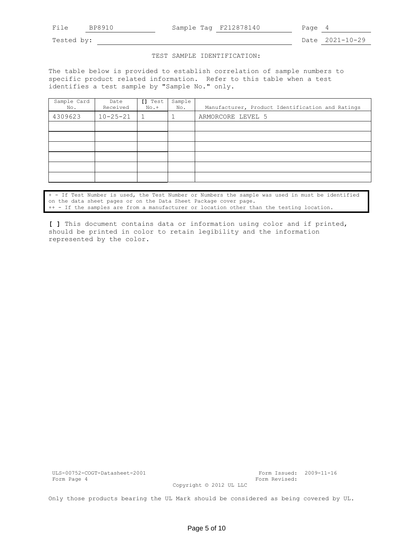File BP8910 Sample Tag F212878140 Page 4

Tested by: Date 2021-10-29

## TEST SAMPLE IDENTIFICATION:

The table below is provided to establish correlation of sample numbers to specific product related information. Refer to this table when a test identifies a test sample by "Sample No." only.

| Sample Card<br>No. | Date<br>Received | [] Test<br>$No.+$ | Sample<br>No. | Manufacturer, Product Identification and Ratings |
|--------------------|------------------|-------------------|---------------|--------------------------------------------------|
| 4309623            | $10 - 25 - 21$   | 1                 |               | ARMORCORE LEVEL 5                                |
|                    |                  |                   |               |                                                  |
|                    |                  |                   |               |                                                  |
|                    |                  |                   |               |                                                  |
|                    |                  |                   |               |                                                  |
|                    |                  |                   |               |                                                  |
|                    |                  |                   |               |                                                  |

|  | + - If Test Number is used, the Test Number or Numbers the sample was used in must be identified |  |  |  |  |  |  |
|--|--------------------------------------------------------------------------------------------------|--|--|--|--|--|--|
|  | on the data sheet pages or on the Data Sheet Package cover page.                                 |  |  |  |  |  |  |
|  | ++ - If the samples are from a manufacturer or location other than the testing location.         |  |  |  |  |  |  |

**[ ]** This document contains data or information using color and if printed, should be printed in color to retain legibility and the information represented by the color.

ULS-00752-COGT-Datasheet-2001 Form Issued: 2009-11-16 Form Page 4 Form Revised:

Copyright © 2012 UL LLC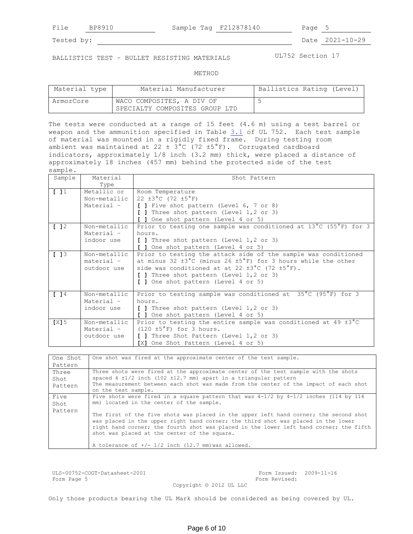File BP8910 Sample Tag F212878140 Page 5

Tested by: Date 2021-10-29

BALLISTICS TEST - BULLET RESISTING MATERIALS UL752 Section 17

METHOD

| Material type | Material Manufacturer          | Ballistics Rating (Level) |
|---------------|--------------------------------|---------------------------|
| ArmorCore     | WACO COMPOSITES, A DIV OF      |                           |
|               | SPECIALTY COMPOSITES GROUP LTD |                           |

The tests were conducted at a range of 15 feet (4.6 m) using a test barrel or weapon and the ammunition specified in Table 3.1 of UL 752. Each test sample of material was mounted in a rigidly fixed frame. During testing room ambient was maintained at 22  $\pm$  3°C (72  $\pm$ 5°F). Corrugated cardboard indicators, approximately 1/8 inch (3.2 mm) thick, were placed a distance of approximately 18 inches (457 mm) behind the protected side of the test sample.

| Sample  | Material     | Shot Pattern                                                                           |
|---------|--------------|----------------------------------------------------------------------------------------|
|         | Type         |                                                                                        |
| [1]     | Metallic or  | Room Temperature                                                                       |
|         | Non-metallic | 22 $\pm 3^{\circ}$ C (72 $\pm 5^{\circ}$ F)                                            |
|         | Material -   | [ ] Five shot pattern (Level 6, 7 or 8)                                                |
|         |              | [ ] Three shot pattern (Level 1,2 or 3)                                                |
|         |              | [ ] One shot pattern (Level 4 or 5)                                                    |
| 12      | Non-metallic | Prior to testing one sample was conditioned at 13°C (55°F) for 3                       |
|         | Material -   | hours.                                                                                 |
|         | indoor use   | [ ] Three shot pattern (Level 1,2 or 3)                                                |
|         |              | [ ] One shot pattern (Level 4 or 5)                                                    |
| [13]    | Non-metallic | Prior to testing the attack side of the sample was conditioned                         |
|         | material -   | at minus 32 $\pm 3^{\circ}$ C (minus 26 $\pm 5^{\circ}$ F) for 3 hours while the other |
|         | outdoor use  | side was conditioned at at 22 $\pm 3^{\circ}$ C (72 $\pm 5^{\circ}$ F).                |
|         |              | [ ] Three shot pattern (Level 1,2 or 3)                                                |
|         |              | [ ] One shot pattern (Level 4 or 5)                                                    |
|         | Non-metallic |                                                                                        |
| 14      |              | Prior to testing sample was conditioned at 35°C (95°F) for 3<br>hours.                 |
|         | Material -   |                                                                                        |
|         | indoor use   | [ ] Three shot pattern (Level 1,2 or 3)                                                |
|         |              | [ ] One shot pattern (Level 4 or 5)                                                    |
| $[X]$ 5 | Non-metallic | Prior to testing the entire sample was conditioned at 49 $\pm 3^{\circ}$ C             |
|         | Material -   | $(120 \pm 5\degree F)$ for 3 hours.                                                    |
|         | outdoor use  | [ ] Three Shot Pattern (Level 1,2 or 3)                                                |
|         |              | [X] One Shot Pattern (Level 4 or 5)                                                    |

| One Shot                 | One shot was fired at the approximate center of the test sample.                                                                                                                                                                                                                                                                                                                                                                                                                                                     |
|--------------------------|----------------------------------------------------------------------------------------------------------------------------------------------------------------------------------------------------------------------------------------------------------------------------------------------------------------------------------------------------------------------------------------------------------------------------------------------------------------------------------------------------------------------|
| Pattern                  |                                                                                                                                                                                                                                                                                                                                                                                                                                                                                                                      |
| Three<br>Shot<br>Pattern | Three shots were fired at the approximate center of the test sample with the shots<br>spaced 4 $\pm 1/2$ inch (102 $\pm 12.7$ mm) apart in a triangular pattern<br>The measurement between each shot was made from the center of the impact of each shot<br>on the test sample.                                                                                                                                                                                                                                      |
| Five<br>Shot<br>Pattern  | Five shots were fired in a square pattern that was $4-1/2$ by $4-1/2$ inches (114 by 114<br>mm) located in the center of the sample.<br>The first of the five shots was placed in the upper left hand corner; the second shot<br>was placed in the upper right hand corner; the third shot was placed in the lower<br>right hand corner; the fourth shot was placed in the lower left hand corner; the fifth<br>shot was placed at the center of the square.<br>A tolerance of $+/- 1/2$ inch (12.7 mm) was allowed. |

ULS-00752-COGT-Datasheet-2001 Form Issued: 2009-11-16 Form Page 5 Form Revised:

Copyright © 2012 UL LLC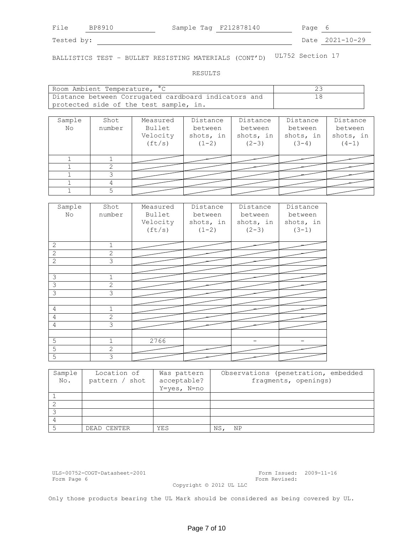File BP8910 Sample Tag F212878140 Page 6

Tested by: 2021-10-29

BALLISTICS TEST – BULLET RESISTING MATERIALS (CONT'D) UL752 Section 17

RESULTS

| Room Ambient Temperature, °C                         |  |
|------------------------------------------------------|--|
| Distance between Corrugated cardboard indicators and |  |
| protected side of the test sample, in.               |  |

| Sample<br>No | Shot<br>number | Measured<br>Bullet<br>Velocity<br>(ft/s) | Distance<br>between<br>shots, in<br>$(1-2)$ | Distance<br>between<br>shots, in<br>$(2-3)$ | Distance<br>between<br>shots, in<br>$(3-4)$ | Distance<br>between<br>shots, in<br>$(4-1)$ |
|--------------|----------------|------------------------------------------|---------------------------------------------|---------------------------------------------|---------------------------------------------|---------------------------------------------|
|              |                |                                          |                                             |                                             |                                             |                                             |
|              |                |                                          |                                             |                                             |                                             |                                             |
|              |                |                                          |                                             |                                             |                                             |                                             |
|              |                |                                          |                                             |                                             |                                             |                                             |
|              |                |                                          |                                             |                                             |                                             |                                             |

| Sample<br>No   | Shot<br>number | Measured<br>Bullet<br>Velocity<br>(ft/s) | Distance<br>between<br>shots, in<br>$(1-2)$ | Distance<br>between<br>shots, in<br>$(2-3)$ | Distance<br>between<br>shots, in<br>$(3-1)$ |
|----------------|----------------|------------------------------------------|---------------------------------------------|---------------------------------------------|---------------------------------------------|
| $\mathbf{2}$   | $\mathbf{1}$   |                                          |                                             |                                             |                                             |
| $\overline{c}$ | $\overline{c}$ |                                          |                                             |                                             |                                             |
| 2              | 3              |                                          |                                             |                                             |                                             |
|                |                |                                          |                                             |                                             |                                             |
| 3              | $\mathbf{1}$   |                                          |                                             |                                             |                                             |
| $\mathcal{S}$  | 2              |                                          |                                             |                                             |                                             |
| 3              | 3              |                                          |                                             |                                             |                                             |
|                |                |                                          |                                             |                                             |                                             |
| $\overline{4}$ | $\mathbf{1}$   |                                          |                                             |                                             |                                             |
| 4              | $\overline{c}$ |                                          |                                             |                                             |                                             |
| $\overline{4}$ | 3              |                                          |                                             |                                             |                                             |
|                |                |                                          |                                             |                                             |                                             |
| 5              | $\mathbf{1}$   | 2766                                     |                                             |                                             |                                             |
| $\overline{5}$ | $\overline{2}$ |                                          |                                             |                                             |                                             |
| 5              | 3              |                                          |                                             |                                             |                                             |

| Sample | Location of    | Was pattern | Observations (penetration, embedded |
|--------|----------------|-------------|-------------------------------------|
| No.    | pattern / shot | acceptable? | fragments, openings)                |
|        |                | Y=yes, N=no |                                     |
|        |                |             |                                     |
|        |                |             |                                     |
|        |                |             |                                     |
|        |                |             |                                     |
|        | DEAD CENTER    | YES         | ΝS<br>ΝP                            |

ULS-00752-COGT-Datasheet-2001 Form Issued: 2009-11-16

Form Revised:

Copyright © 2012 UL LLC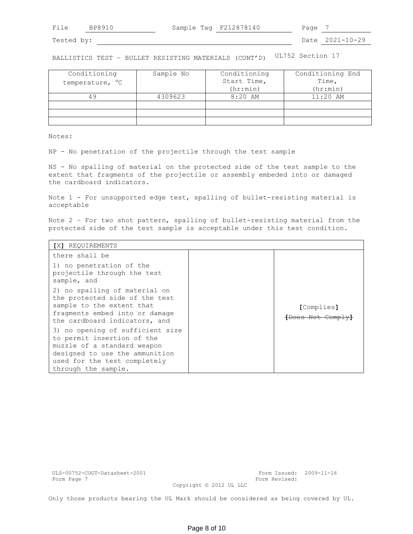| 耳主<br>_______ | Sampi<br>™⊇α<br>$\triangle$<br>___<br>__ | ドク<br>ּאַי<br>40<br>R. | ╯┙<br>$\sim$ |  |
|---------------|------------------------------------------|------------------------|--------------|--|
|               |                                          |                        |              |  |

BALLISTICS TEST – BULLET RESISTING MATERIALS (CONT'D) UL752 Section 17

| Conditioning<br>temperature, °C | Sample No | Conditioning<br>Start Time,<br>(hr:min) | Conditioning End<br>Time,<br>(hr:min) |
|---------------------------------|-----------|-----------------------------------------|---------------------------------------|
| 49                              | 4309623   | $8:20$ AM                               | $11:20$ AM                            |
|                                 |           |                                         |                                       |
|                                 |           |                                         |                                       |
|                                 |           |                                         |                                       |

Notes:

NP - No penetration of the projectile through the test sample

NS - No spalling of material on the protected side of the test sample to the extent that fragments of the projectile or assembly embeded into or damaged the cardboard indicators.

Note 1 - For unsupported edge test, spalling of bullet-resisting material is acceptable

Note 2 – For two shot pattern, spalling of bullet-resisting material from the protected side of the test sample is acceptable under this test condition.

| [X] REQUIREMENTS                                                                                                                                                                       |  |                                            |  |  |  |
|----------------------------------------------------------------------------------------------------------------------------------------------------------------------------------------|--|--------------------------------------------|--|--|--|
| there shall be                                                                                                                                                                         |  |                                            |  |  |  |
| 1) no penetration of the<br>projectile through the test<br>sample, and                                                                                                                 |  |                                            |  |  |  |
| 2) no spalling of material on<br>the protected side of the test<br>sample to the extent that<br>fragments embed into or damage<br>the cardboard indicators, and                        |  | [Complies]<br><del>[Does Not Comply]</del> |  |  |  |
| 3) no opening of sufficient size<br>to permit insertion of the<br>muzzle of a standard weapon<br>designed to use the ammunition<br>used for the test completely<br>through the sample. |  |                                            |  |  |  |

ULS-00752-COGT-Datasheet-2001 Form Issued: 2009-11-16 Form Page 7 **Form Revised:** Form Revised:

Copyright © 2012 UL LLC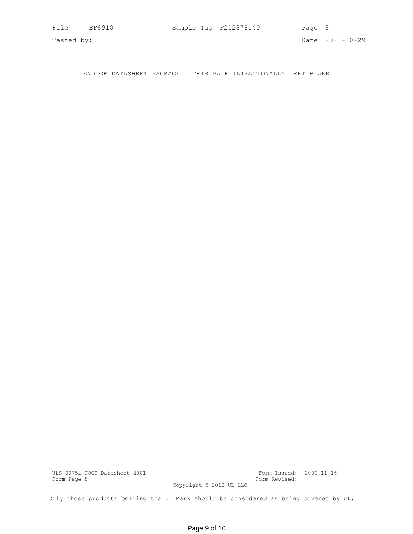| File       | BP8910 | Sample Tag F212878140 | Page 8 |                 |
|------------|--------|-----------------------|--------|-----------------|
| Tested by: |        |                       |        | Date 2021-10-29 |

END OF DATASHEET PACKAGE. THIS PAGE INTENTIONALLY LEFT BLANK

ULS-00752-COGT-Datasheet-2001 Form Issued: 2009-11-16

Form Revised:

Copyright © 2012 UL LLC